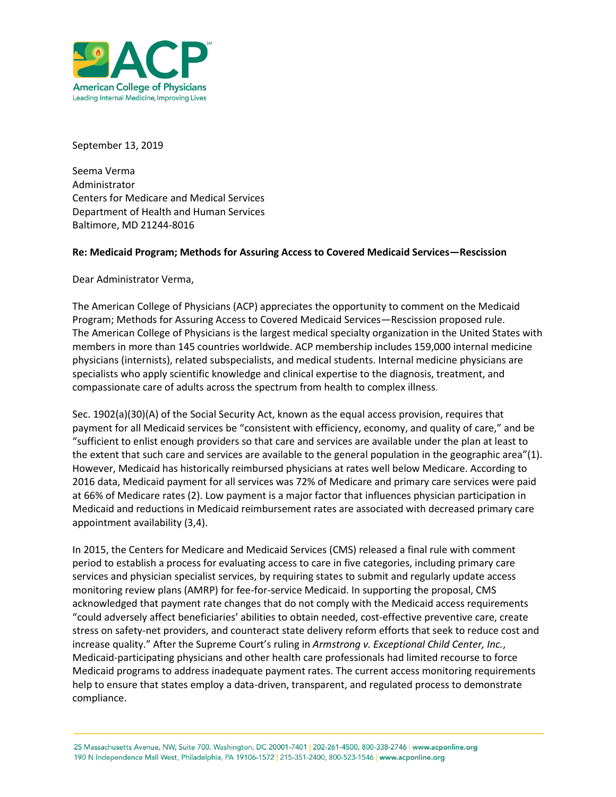

September 13, 2019

Seema Verma Administrator Centers for Medicare and Medical Services Department of Health and Human Services Baltimore, MD 21244-8016

## **Re: Medicaid Program; Methods for Assuring Access to Covered Medicaid Services—Rescission**

Dear Administrator Verma,

The American College of Physicians (ACP) appreciates the opportunity to comment on the Medicaid Program; Methods for Assuring Access to Covered Medicaid Services—Rescission proposed rule. The [American College of Physicians](https://www.acponline.org/) is the largest medical specialty organization in the United States with members in more than 145 countries worldwide. ACP membership includes 159,000 internal medicine physicians (internists), related subspecialists, and medical students. Internal medicine physicians are specialists who apply scientific knowledge and clinical expertise to the diagnosis, treatment, and compassionate care of adults across the spectrum from health to complex illness.

Sec. 1902(a)(30)(A) of the Social Security Act, known as the equal access provision, requires that payment for all Medicaid services be "consistent with efficiency, economy, and quality of care," and be "sufficient to enlist enough providers so that care and services are available under the plan at least to the extent that such care and services are available to the general population in the geographic area"(1). However, Medicaid has historically reimbursed physicians at rates well below Medicare. According to 2016 data, Medicaid payment for all services was 72% of Medicare and primary care services were paid at 66% of Medicare rates (2). Low payment is a major factor that influences physician participation in Medicaid and reductions in Medicaid reimbursement rates are associated with decreased primary care appointment availability (3,4).

In 2015, the Centers for Medicare and Medicaid Services (CMS) released a final rule with comment period to establish a process for evaluating access to care in five categories, including primary care services and physician specialist services, by requiring states to submit and regularly update access monitoring review plans (AMRP) for fee-for-service Medicaid. In supporting the proposal, CMS acknowledged that payment rate changes that do not comply with the Medicaid access requirements "could adversely affect beneficiaries' abilities to obtain needed, cost-effective preventive care, create stress on safety-net providers, and counteract state delivery reform efforts that seek to reduce cost and increase quality." After the Supreme Court's ruling in *Armstrong v. Exceptional Child Center, Inc.*, Medicaid-participating physicians and other health care professionals had limited recourse to force Medicaid programs to address inadequate payment rates. The current access monitoring requirements help to ensure that states employ a data-driven, transparent, and regulated process to demonstrate compliance.